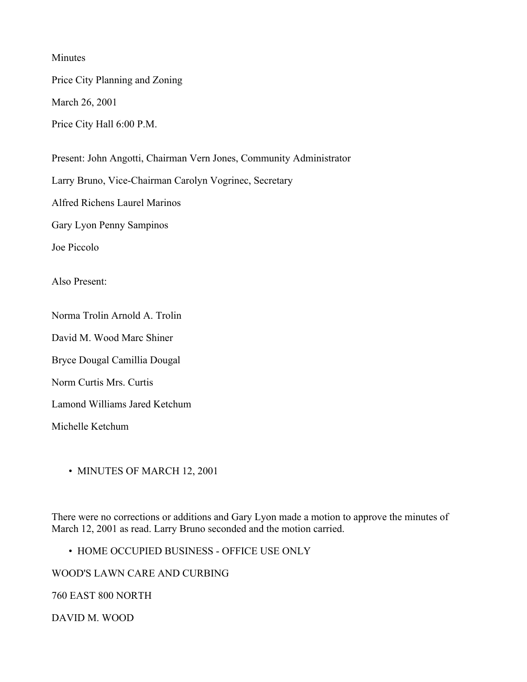Minutes

Price City Planning and Zoning

March 26, 2001

Price City Hall 6:00 P.M.

Present: John Angotti, Chairman Vern Jones, Community Administrator

Larry Bruno, Vice-Chairman Carolyn Vogrinec, Secretary

Alfred Richens Laurel Marinos

Gary Lyon Penny Sampinos

Joe Piccolo

Also Present:

Norma Trolin Arnold A. Trolin

David M. Wood Marc Shiner

Bryce Dougal Camillia Dougal

Norm Curtis Mrs. Curtis

Lamond Williams Jared Ketchum

Michelle Ketchum

• MINUTES OF MARCH 12, 2001

There were no corrections or additions and Gary Lyon made a motion to approve the minutes of March 12, 2001 as read. Larry Bruno seconded and the motion carried.

• HOME OCCUPIED BUSINESS - OFFICE USE ONLY

WOOD'S LAWN CARE AND CURBING

760 EAST 800 NORTH

DAVID M. WOOD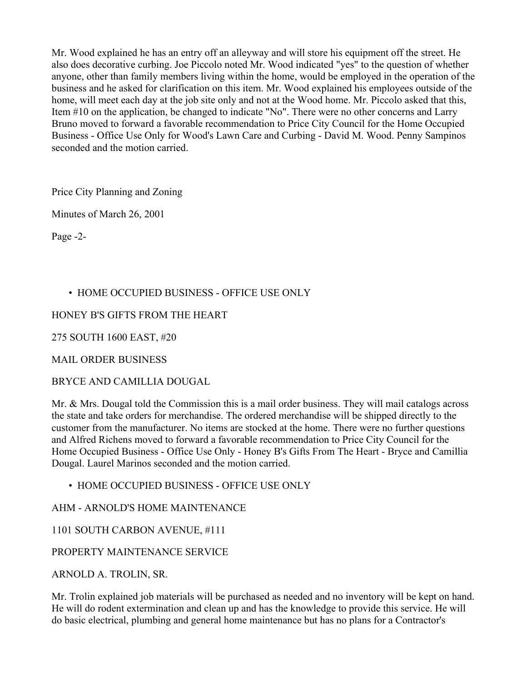Mr. Wood explained he has an entry off an alleyway and will store his equipment off the street. He also does decorative curbing. Joe Piccolo noted Mr. Wood indicated "yes" to the question of whether anyone, other than family members living within the home, would be employed in the operation of the business and he asked for clarification on this item. Mr. Wood explained his employees outside of the home, will meet each day at the job site only and not at the Wood home. Mr. Piccolo asked that this, Item #10 on the application, be changed to indicate "No". There were no other concerns and Larry Bruno moved to forward a favorable recommendation to Price City Council for the Home Occupied Business - Office Use Only for Wood's Lawn Care and Curbing - David M. Wood. Penny Sampinos seconded and the motion carried.

Price City Planning and Zoning

Minutes of March 26, 2001

Page -2-

# • HOME OCCUPIED BUSINESS - OFFICE USE ONLY

## HONEY B'S GIFTS FROM THE HEART

275 SOUTH 1600 EAST, #20

MAIL ORDER BUSINESS

BRYCE AND CAMILLIA DOUGAL

Mr. & Mrs. Dougal told the Commission this is a mail order business. They will mail catalogs across the state and take orders for merchandise. The ordered merchandise will be shipped directly to the customer from the manufacturer. No items are stocked at the home. There were no further questions and Alfred Richens moved to forward a favorable recommendation to Price City Council for the Home Occupied Business - Office Use Only - Honey B's Gifts From The Heart - Bryce and Camillia Dougal. Laurel Marinos seconded and the motion carried.

• HOME OCCUPIED BUSINESS - OFFICE USE ONLY

AHM - ARNOLD'S HOME MAINTENANCE

1101 SOUTH CARBON AVENUE, #111

PROPERTY MAINTENANCE SERVICE

ARNOLD A. TROLIN, SR.

Mr. Trolin explained job materials will be purchased as needed and no inventory will be kept on hand. He will do rodent extermination and clean up and has the knowledge to provide this service. He will do basic electrical, plumbing and general home maintenance but has no plans for a Contractor's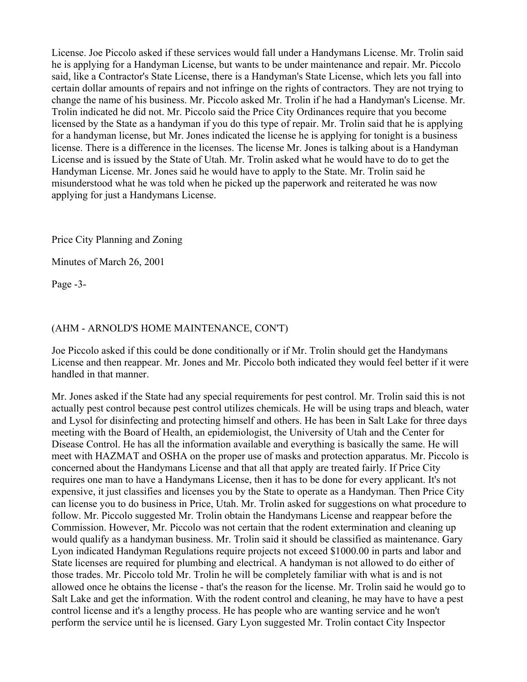License. Joe Piccolo asked if these services would fall under a Handymans License. Mr. Trolin said he is applying for a Handyman License, but wants to be under maintenance and repair. Mr. Piccolo said, like a Contractor's State License, there is a Handyman's State License, which lets you fall into certain dollar amounts of repairs and not infringe on the rights of contractors. They are not trying to change the name of his business. Mr. Piccolo asked Mr. Trolin if he had a Handyman's License. Mr. Trolin indicated he did not. Mr. Piccolo said the Price City Ordinances require that you become licensed by the State as a handyman if you do this type of repair. Mr. Trolin said that he is applying for a handyman license, but Mr. Jones indicated the license he is applying for tonight is a business license. There is a difference in the licenses. The license Mr. Jones is talking about is a Handyman License and is issued by the State of Utah. Mr. Trolin asked what he would have to do to get the Handyman License. Mr. Jones said he would have to apply to the State. Mr. Trolin said he misunderstood what he was told when he picked up the paperwork and reiterated he was now applying for just a Handymans License.

Price City Planning and Zoning

Minutes of March 26, 2001

Page -3-

### (AHM - ARNOLD'S HOME MAINTENANCE, CON'T)

Joe Piccolo asked if this could be done conditionally or if Mr. Trolin should get the Handymans License and then reappear. Mr. Jones and Mr. Piccolo both indicated they would feel better if it were handled in that manner.

Mr. Jones asked if the State had any special requirements for pest control. Mr. Trolin said this is not actually pest control because pest control utilizes chemicals. He will be using traps and bleach, water and Lysol for disinfecting and protecting himself and others. He has been in Salt Lake for three days meeting with the Board of Health, an epidemiologist, the University of Utah and the Center for Disease Control. He has all the information available and everything is basically the same. He will meet with HAZMAT and OSHA on the proper use of masks and protection apparatus. Mr. Piccolo is concerned about the Handymans License and that all that apply are treated fairly. If Price City requires one man to have a Handymans License, then it has to be done for every applicant. It's not expensive, it just classifies and licenses you by the State to operate as a Handyman. Then Price City can license you to do business in Price, Utah. Mr. Trolin asked for suggestions on what procedure to follow. Mr. Piccolo suggested Mr. Trolin obtain the Handymans License and reappear before the Commission. However, Mr. Piccolo was not certain that the rodent extermination and cleaning up would qualify as a handyman business. Mr. Trolin said it should be classified as maintenance. Gary Lyon indicated Handyman Regulations require projects not exceed \$1000.00 in parts and labor and State licenses are required for plumbing and electrical. A handyman is not allowed to do either of those trades. Mr. Piccolo told Mr. Trolin he will be completely familiar with what is and is not allowed once he obtains the license - that's the reason for the license. Mr. Trolin said he would go to Salt Lake and get the information. With the rodent control and cleaning, he may have to have a pest control license and it's a lengthy process. He has people who are wanting service and he won't perform the service until he is licensed. Gary Lyon suggested Mr. Trolin contact City Inspector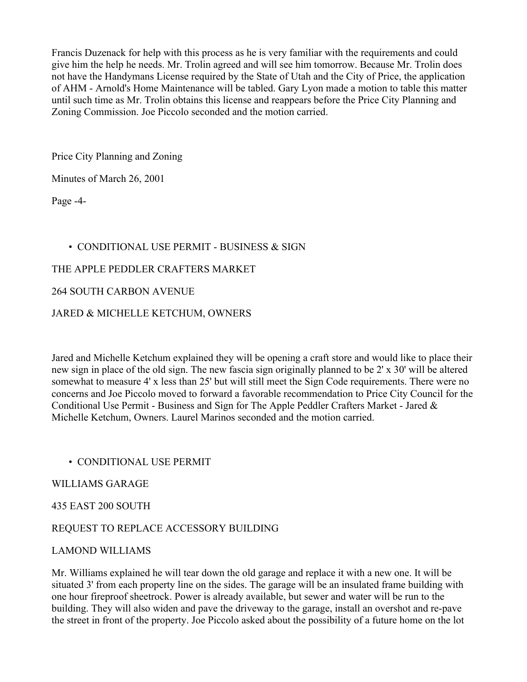Francis Duzenack for help with this process as he is very familiar with the requirements and could give him the help he needs. Mr. Trolin agreed and will see him tomorrow. Because Mr. Trolin does not have the Handymans License required by the State of Utah and the City of Price, the application of AHM - Arnold's Home Maintenance will be tabled. Gary Lyon made a motion to table this matter until such time as Mr. Trolin obtains this license and reappears before the Price City Planning and Zoning Commission. Joe Piccolo seconded and the motion carried.

Price City Planning and Zoning

Minutes of March 26, 2001

Page -4-

## • CONDITIONAL USE PERMIT - BUSINESS & SIGN

### THE APPLE PEDDLER CRAFTERS MARKET

### 264 SOUTH CARBON AVENUE

### JARED & MICHELLE KETCHUM, OWNERS

Jared and Michelle Ketchum explained they will be opening a craft store and would like to place their new sign in place of the old sign. The new fascia sign originally planned to be 2' x 30' will be altered somewhat to measure 4' x less than 25' but will still meet the Sign Code requirements. There were no concerns and Joe Piccolo moved to forward a favorable recommendation to Price City Council for the Conditional Use Permit - Business and Sign for The Apple Peddler Crafters Market - Jared & Michelle Ketchum, Owners. Laurel Marinos seconded and the motion carried.

### • CONDITIONAL USE PERMIT

### WILLIAMS GARAGE

### 435 EAST 200 SOUTH

### REQUEST TO REPLACE ACCESSORY BUILDING

### LAMOND WILLIAMS

Mr. Williams explained he will tear down the old garage and replace it with a new one. It will be situated 3' from each property line on the sides. The garage will be an insulated frame building with one hour fireproof sheetrock. Power is already available, but sewer and water will be run to the building. They will also widen and pave the driveway to the garage, install an overshot and re-pave the street in front of the property. Joe Piccolo asked about the possibility of a future home on the lot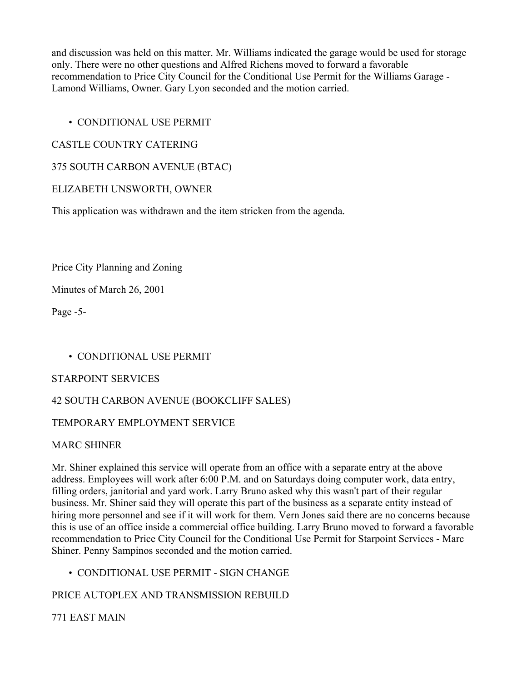and discussion was held on this matter. Mr. Williams indicated the garage would be used for storage only. There were no other questions and Alfred Richens moved to forward a favorable recommendation to Price City Council for the Conditional Use Permit for the Williams Garage - Lamond Williams, Owner. Gary Lyon seconded and the motion carried.

## • CONDITIONAL USE PERMIT

## CASTLE COUNTRY CATERING

## 375 SOUTH CARBON AVENUE (BTAC)

### ELIZABETH UNSWORTH, OWNER

This application was withdrawn and the item stricken from the agenda.

Price City Planning and Zoning

Minutes of March 26, 2001

Page -5-

## • CONDITIONAL USE PERMIT

### STARPOINT SERVICES

## 42 SOUTH CARBON AVENUE (BOOKCLIFF SALES)

### TEMPORARY EMPLOYMENT SERVICE

### MARC SHINER

Mr. Shiner explained this service will operate from an office with a separate entry at the above address. Employees will work after 6:00 P.M. and on Saturdays doing computer work, data entry, filling orders, janitorial and yard work. Larry Bruno asked why this wasn't part of their regular business. Mr. Shiner said they will operate this part of the business as a separate entity instead of hiring more personnel and see if it will work for them. Vern Jones said there are no concerns because this is use of an office inside a commercial office building. Larry Bruno moved to forward a favorable recommendation to Price City Council for the Conditional Use Permit for Starpoint Services - Marc Shiner. Penny Sampinos seconded and the motion carried.

• CONDITIONAL USE PERMIT - SIGN CHANGE

### PRICE AUTOPLEX AND TRANSMISSION REBUILD

## 771 EAST MAIN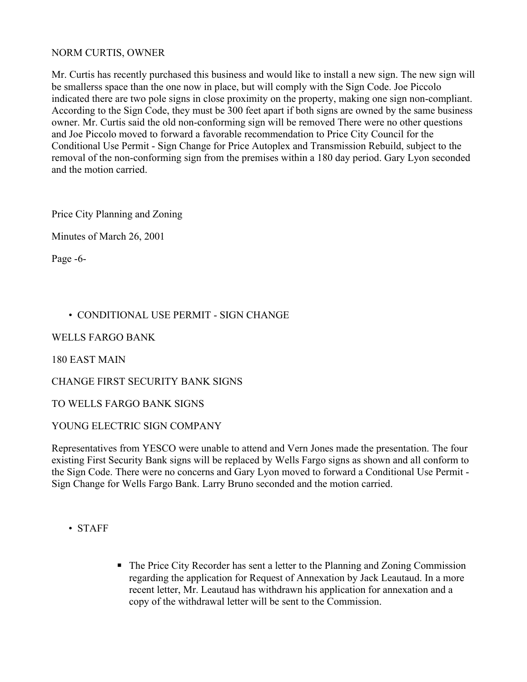#### NORM CURTIS, OWNER

Mr. Curtis has recently purchased this business and would like to install a new sign. The new sign will be smallerss space than the one now in place, but will comply with the Sign Code. Joe Piccolo indicated there are two pole signs in close proximity on the property, making one sign non-compliant. According to the Sign Code, they must be 300 feet apart if both signs are owned by the same business owner. Mr. Curtis said the old non-conforming sign will be removed There were no other questions and Joe Piccolo moved to forward a favorable recommendation to Price City Council for the Conditional Use Permit - Sign Change for Price Autoplex and Transmission Rebuild, subject to the removal of the non-conforming sign from the premises within a 180 day period. Gary Lyon seconded and the motion carried.

Price City Planning and Zoning

Minutes of March 26, 2001

Page -6-

### • CONDITIONAL USE PERMIT - SIGN CHANGE

#### WELLS FARGO BANK

180 EAST MAIN

CHANGE FIRST SECURITY BANK SIGNS

TO WELLS FARGO BANK SIGNS

#### YOUNG ELECTRIC SIGN COMPANY

Representatives from YESCO were unable to attend and Vern Jones made the presentation. The four existing First Security Bank signs will be replaced by Wells Fargo signs as shown and all conform to the Sign Code. There were no concerns and Gary Lyon moved to forward a Conditional Use Permit - Sign Change for Wells Fargo Bank. Larry Bruno seconded and the motion carried.

- STAFF
- The Price City Recorder has sent a letter to the Planning and Zoning Commission regarding the application for Request of Annexation by Jack Leautaud. In a more recent letter, Mr. Leautaud has withdrawn his application for annexation and a copy of the withdrawal letter will be sent to the Commission.